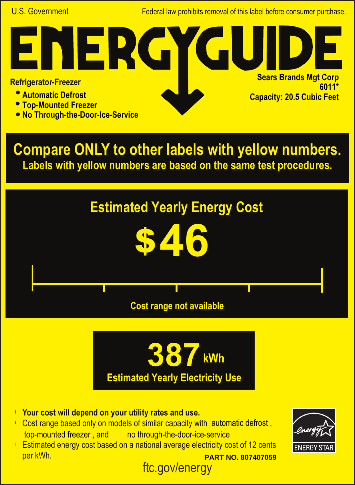U.S. Government **Federal law prohibits removal of this label before consumer purchase.** 

**Sears Brands Mgt Corp**

**Capacity: 20.5 Cubic Feet**

**6011\***

## **Refrigerator-Freezer**

- **Automatic Defrost**
- **Top-Mounted Freezer**
- **No Through-the-Door-Ice-Service**

NER

**Compare ONLY to other labels with yellow numbers. Labels with yellow numbers are based on the same test procedures.**





- **Your cost will depend on your utility rates and use.** l
- Cost range based only on models of similar capacity with automatic defrost, top-mounted freezer, and no through-the-door-ice-service
- ftc.gov/energy **Estimated energy cost based on a national average electricity cost of 12 cents** per kWh. **PART NO. 807407059**